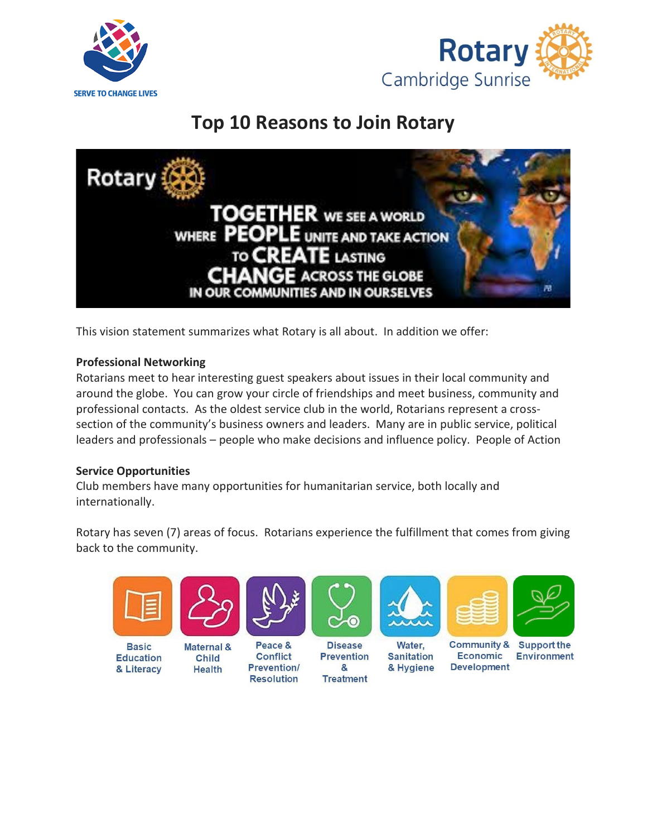



# **Top 10 Reasons to Join Rotary**



This vision statement summarizes what Rotary is all about. In addition we offer:

## **Professional Networking**

Rotarians meet to hear interesting guest speakers about issues in their local community and around the globe. You can grow your circle of friendships and meet business, community and professional contacts. As the oldest service club in the world, Rotarians represent a crosssection of the community's business owners and leaders. Many are in public service, political leaders and professionals – people who make decisions and influence policy. People of Action

## **Service Opportunities**

& Literacy

Club members have many opportunities for humanitarian service, both locally and internationally.

**Prevention/** 

**Resolution** 

**Health** 

Rotary has seven (7) areas of focus. Rotarians experience the fulfillment that comes from giving back to the community.



&

**Treatment** 

& Hygiene

**Development**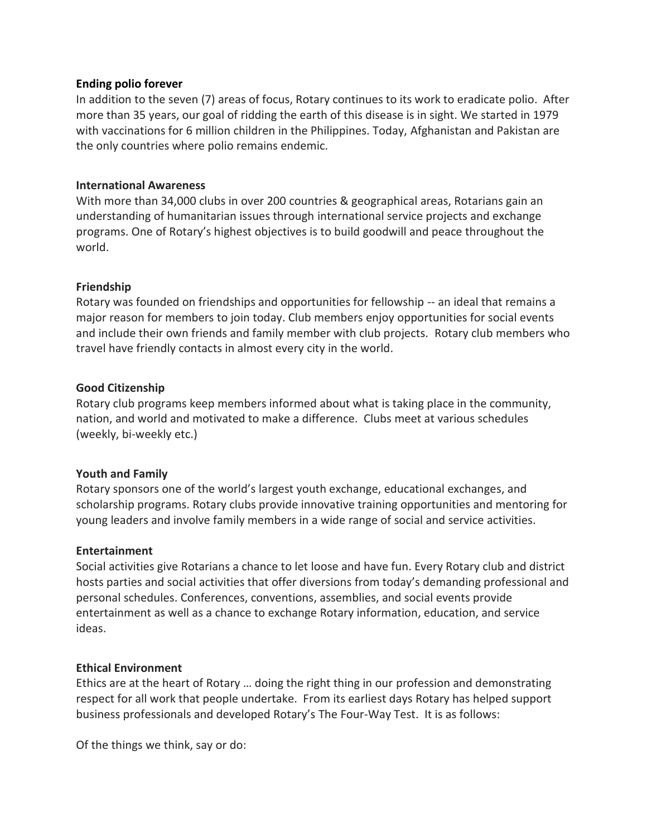#### **Ending polio forever**

In addition to the seven (7) areas of focus, Rotary continues to its work to eradicate polio. After more than 35 years, our goal of ridding the earth of this disease is in sight. We started in 1979 with vaccinations for 6 million children in the Philippines. Today, Afghanistan and Pakistan are the only countries where polio remains endemic.

#### **International Awareness**

With more than 34,000 clubs in over 200 countries & geographical areas, Rotarians gain an understanding of humanitarian issues through international service projects and exchange programs. One of Rotary's highest objectives is to build goodwill and peace throughout the world.

#### **Friendship**

Rotary was founded on friendships and opportunities for fellowship -- an ideal that remains a major reason for members to join today. Club members enjoy opportunities for social events and include their own friends and family member with club projects. Rotary club members who travel have friendly contacts in almost every city in the world.

#### **Good Citizenship**

Rotary club programs keep members informed about what is taking place in the community, nation, and world and motivated to make a difference. Clubs meet at various schedules (weekly, bi-weekly etc.)

#### **Youth and Family**

Rotary sponsors one of the world's largest youth exchange, educational exchanges, and scholarship programs. Rotary clubs provide innovative training opportunities and mentoring for young leaders and involve family members in a wide range of social and service activities.

#### **Entertainment**

Social activities give Rotarians a chance to let loose and have fun. Every Rotary club and district hosts parties and social activities that offer diversions from today's demanding professional and personal schedules. Conferences, conventions, assemblies, and social events provide entertainment as well as a chance to exchange Rotary information, education, and service ideas.

#### **Ethical Environment**

Ethics are at the heart of Rotary … doing the right thing in our profession and demonstrating respect for all work that people undertake. From its earliest days Rotary has helped support business professionals and developed Rotary's The Four-Way Test. It is as follows:

Of the things we think, say or do: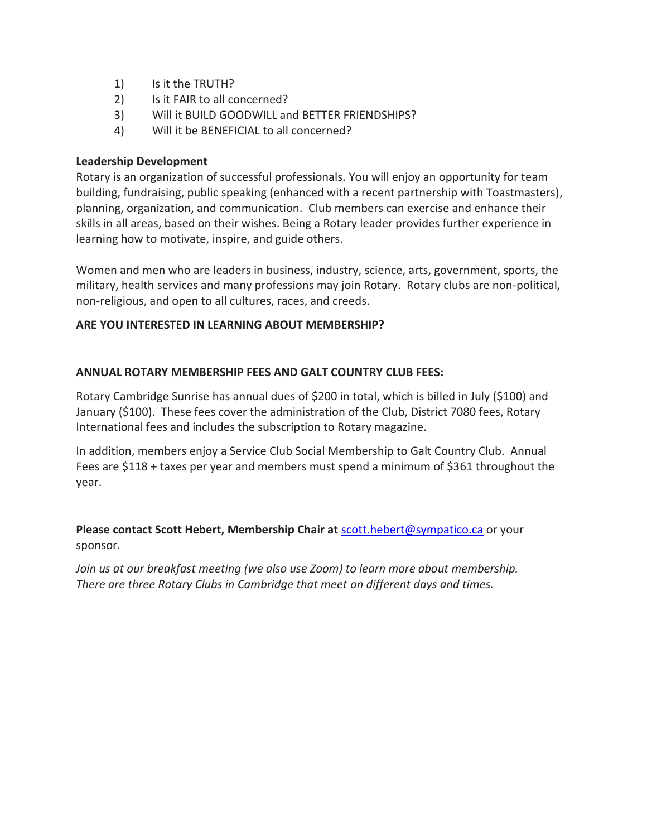- 1) Is it the TRUTH?
- 2) Is it FAIR to all concerned?
- 3) Will it BUILD GOODWILL and BETTER FRIENDSHIPS?
- 4) Will it be BENEFICIAL to all concerned?

## **Leadership Development**

Rotary is an organization of successful professionals. You will enjoy an opportunity for team building, fundraising, public speaking (enhanced with a recent partnership with Toastmasters), planning, organization, and communication. Club members can exercise and enhance their skills in all areas, based on their wishes. Being a Rotary leader provides further experience in learning how to motivate, inspire, and guide others.

Women and men who are leaders in business, industry, science, arts, government, sports, the military, health services and many professions may join Rotary. Rotary clubs are non-political, non-religious, and open to all cultures, races, and creeds.

## **ARE YOU INTERESTED IN LEARNING ABOUT MEMBERSHIP?**

## **ANNUAL ROTARY MEMBERSHIP FEES AND GALT COUNTRY CLUB FEES:**

Rotary Cambridge Sunrise has annual dues of \$200 in total, which is billed in July (\$100) and January (\$100). These fees cover the administration of the Club, District 7080 fees, Rotary International fees and includes the subscription to Rotary magazine.

In addition, members enjoy a Service Club Social Membership to Galt Country Club. Annual Fees are \$118 + taxes per year and members must spend a minimum of \$361 throughout the year.

**Please contact Scott Hebert, Membership Chair at** [scott.hebert@sympatico.ca](mailto:scott.hebert@sympatico.ca) or your sponsor.

Join us at our breakfast meeting (we also use Zoom) to learn more about membership. *There are three Rotary Clubs in Cambridge that meet on different days and times.*